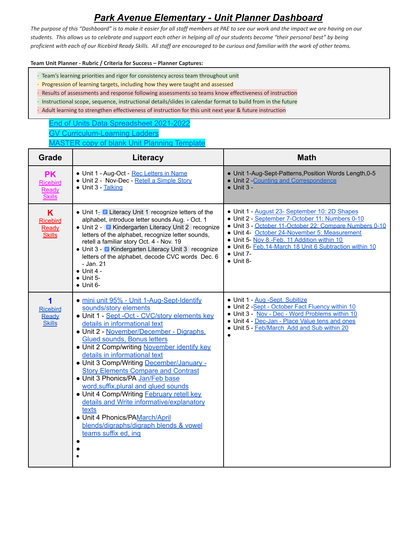# *Park Avenue Elementary - Unit Planner Dashboard*

*The purpose of this "Dashboard" is to make it easier for all staff members at PAE to see our work and the impact we are having on our students. This allows us to celebrate and support each other in helping all of our students become "their personal best" by being proficient with each of our Ricebird Ready Skills. All staff are encouraged to be curious and familiar with the work of other teams.*

#### **Team Unit Planner - Rubric / Criteria for Success – Planner Captures:**

- · Team's learning priorities and rigor for consistency across team throughout unit
- · Progression of learning targets, including how they were taught and assessed
- · Results of assessments and response following assessments so teams know effectiveness of instruction
- · Instructional scope, sequence, instructional details/slides in calendar format to build from in the future
- · Adult learning to strengthen effectiveness of instruction for this unit next year & future instruction

# End of Units Data [Spreadsheet](https://docs.google.com/spreadsheets/d/11dn5jz1YLVlZHWf2F_bhD8RvVs55AFYME2lv_wQUHKE/edit?usp=sharing) 2021-2022 GV [Curriculum-Learning](https://docs.google.com/document/d/1xaTrcrPiJU-5Jbv6dwfcSIZnioi5AlMAIc7CYRRdM28/edit?usp=sharing) Ladders [MASTER](https://docs.google.com/document/d/1dQKs29iy7kCgJ1JTdD0o22Qrchkgt8gX5aDafGxbSng/edit?usp=sharing) copy of blank Unit Planning Template

| <b>Grade</b>                                           | Literacy                                                                                                                                                                                                                                                                                                                                                                                                                                                                                                                                                                                                                                                                                                      | <b>Math</b>                                                                                                                                                                                                                                                                                                                                                   |
|--------------------------------------------------------|---------------------------------------------------------------------------------------------------------------------------------------------------------------------------------------------------------------------------------------------------------------------------------------------------------------------------------------------------------------------------------------------------------------------------------------------------------------------------------------------------------------------------------------------------------------------------------------------------------------------------------------------------------------------------------------------------------------|---------------------------------------------------------------------------------------------------------------------------------------------------------------------------------------------------------------------------------------------------------------------------------------------------------------------------------------------------------------|
| <b>PK</b><br><b>Ricebird</b><br>Ready<br><b>Skills</b> | • Unit 1 - Aug-Oct - Rec Letters in Name<br>• Unit 2 - Nov-Dec - Retell a Simple Story<br>• Unit 3 - Talking                                                                                                                                                                                                                                                                                                                                                                                                                                                                                                                                                                                                  | • Unit 1-Aug-Sept-Patterns, Position Words Length, 0-5<br>• Unit 2 - Counting and Correspondence<br>$\bullet$ Unit 3 -                                                                                                                                                                                                                                        |
| K<br><b>Ricebird</b><br>Ready<br><b>Skills</b>         | • Unit $1 - \blacksquare$ Literacy Unit 1 recognize letters of the<br>alphabet, introduce letter sounds Aug. - Oct. 1<br>• Unit 2 - E Kindergarten Literacy Unit 2 recognize<br>letters of the alphabet, recognize letter sounds,<br>retell a familiar story Oct. 4 - Nov. 19<br>• Unit 3 - E Kindergarten Literacy Unit 3 recognize<br>letters of the alphabet, decode CVC words Dec. 6<br>- Jan. 21<br>$\bullet$ Unit 4 -<br>$\bullet$ Unit 5-<br>$\bullet$ Unit 6-                                                                                                                                                                                                                                         | • Unit 1 - August 23- September 10: 2D Shapes<br>• Unit 2 - September 7-October 11: Numbers 0-10<br>• Unit 3 - October 11-October 22: Compare Numbers 0-10<br>• Unit 4- October 24-November 5: Measurement<br>• Unit 5- Nov 8.-Feb. 11 Addition within 10<br>• Unit 6- Feb.14-March 18 Unit 6 Subtraction within 10<br>$\bullet$ Unit 7-<br>$\bullet$ Unit 8- |
| 1<br><b>Ricebird</b><br>Ready<br><b>Skills</b>         | · mini unit 95% - Unit 1-Aug-Sept-Identify<br>sounds/story elements<br>· Unit 1 - Sept - Oct - CVC/story elements key<br>details in informational text<br>· Unit 2 - November/December - Digraphs,<br><b>Glued sounds, Bonus letters</b><br>• Unit 2 Comp/writing November identify key<br>details in informational text<br>• Unit 3 Comp/Writing December/January -<br><b>Story Elements Compare and Contrast</b><br>· Unit 3 Phonics/PA Jan/Feb base<br>word, suffix, plural and glued sounds<br>• Unit 4 Comp/Writing <b>February retell key</b><br>details and Write informative/explanatory<br>texts<br>• Unit 4 Phonics/PAMarch/April<br>blends/digraphs/digraph blends & vowel<br>teams suffix ed, ing | • Unit 1 - Aug -Sept. Subitize<br>• Unit 2 -Sept - October Fact Fluency within 10<br>• Unit 3 - Nov - Dec - Word Problems within 10<br>• Unit 4 - Dec-Jan - Place Value tens and ones<br>• Unit 5 - Feb/March Add and Sub within 20<br>$\bullet$                                                                                                              |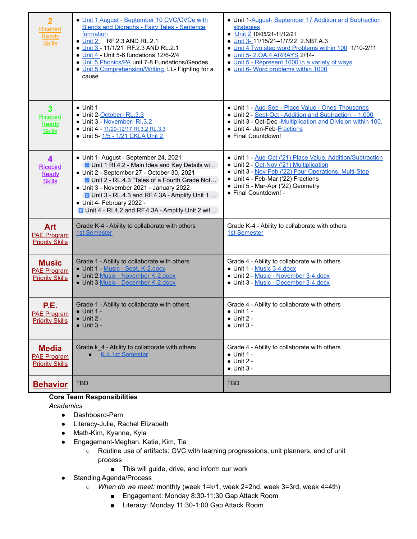| $\overline{2}$<br><b>Ricebird</b><br>Ready<br><b>Skills</b>          | • Unit 1 August - September 10 CVC/CVCe with<br><b>Blends and Digraphs - Fairy Tales - Sentence</b><br>formation<br>• Unit 2 RF.2.3 AND RL.2.1<br>• Unit 3 - 11/1/21 RF.2.3 AND RL.2.1<br>• Unit 4 - Unit 5-6 fundations 12/6-2/4<br>. Unii 5 Phonics/PA unit 7-8 Fundations/Geodes<br>. Unit 5 Comprehension/Writing LL- Fighting for a<br>cause                                                   | • Unit 1-August-September 17 Addition and Subtraction<br>strategies<br>• Unit 2 10/05/21-11/12/21<br>• Unit 3-11/15/21-1/7/22 2.NBT.A.3<br>• Unit 4 Two step word Problems within 100 1/10-2/11<br>. Unit 5-2.0A.4 ARRAYS 2/14-<br>• Unit 5 - Represent 1000 in a variety of ways<br>• Unit 6- Word problems within 1000 |
|----------------------------------------------------------------------|-----------------------------------------------------------------------------------------------------------------------------------------------------------------------------------------------------------------------------------------------------------------------------------------------------------------------------------------------------------------------------------------------------|--------------------------------------------------------------------------------------------------------------------------------------------------------------------------------------------------------------------------------------------------------------------------------------------------------------------------|
| $\overline{\mathbf{3}}$<br><b>Ricebird</b><br>Ready<br><b>Skills</b> | $\bullet$ Unit 1<br>• Unit 2-October-RL.3.3<br>• Unit 3 - November- RI.3.2<br>Unit 4 - 11/29-12/17 RI.3.2 RL.3.3<br>• Unit 5- 1/5 - 1/21 CKLA Unit 2                                                                                                                                                                                                                                                | · Unit 1 - Aug-Sep - Place Value - Ones-Thousands<br>• Unit 2 - Sept-Oct - Addition and Subtraction - 1,000<br>• Unit 3 - Oct-Dec - Multiplication and Division within 100.<br>• Unit 4- Jan-Feb-Fractions<br>• Final Countdown!                                                                                         |
| 4<br><b>Ricebird</b><br>Ready<br><b>Skills</b>                       | • Unit 1- August - September 24, 2021<br><b>E</b> Unit 1 RI.4.2 - Main Idea and Key Details wi<br>• Unit 2 - September 27 - October 30, 2021<br><b>E</b> Unit 2 - RL.4.3 "Tales of a Fourth Grade Not<br>• Unit 3 - November 2021 - January 2022<br><b>E</b> Unit 3 - RL.4.3 and RF.4.3A - Amplify Unit 1<br>• Unit 4- February 2022 -<br><b>E</b> Unit 4 - RI.4.2 and RF.4.3A - Amplify Unit 2 wit | • Unit 1 - Aug-Oct ('21) Place Value, Addition/Subtraction<br>• Unit 2 - Oct-Nov ('21) Multiplication<br>• Unit 3 - Nov-Feb ('22) Four Operations, Multi-Step<br>• Unit 4 - Feb-Mar ('22) Fractions<br>• Unit 5 - Mar-Apr ('22) Geometry<br>· Final Countdown! -                                                         |
| <b>Art</b><br><b>PAE Program</b><br><b>Priority Skills</b>           | Grade K-4 - Ability to collaborate with others<br>1st Semester                                                                                                                                                                                                                                                                                                                                      | Grade K-4 - Ability to collaborate with others<br><b>1st Semester</b>                                                                                                                                                                                                                                                    |
| <b>Music</b><br><b>PAE Program</b><br><b>Priority Skills</b>         | Grade 1 - Ability to collaborate with others<br>• Unit 1 - Music - Sept. K-2.docx<br>· Unit 2 Music - November K-2.docx<br>· Unit 3 Music - December K-2.docx                                                                                                                                                                                                                                       | Grade 4 - Ability to collaborate with others<br>• Unit 1 - Music 3-4.docx<br>• Unit 2 - Music - November 3-4.docx<br>• Unit 3 - Music - December 3-4.docx                                                                                                                                                                |
| P.E.<br><b>PAE Program</b><br><b>Priority Skills</b>                 | Grade 1 - Ability to collaborate with others<br>$\bullet$ Unit 1 -<br>$\bullet$ Unit 2 -<br>$\bullet$ Unit 3 -                                                                                                                                                                                                                                                                                      | Grade 4 - Ability to collaborate with others<br>$\bullet$ Unit 1 -<br>$\bullet$ Unit 2<br>$\bullet$ Unit 3 -                                                                                                                                                                                                             |
| <b>Media</b><br><b>PAE Program</b><br><b>Priority Skills</b>         | Grade k_4 - Ability to collaborate with others<br>K-4 1st Semester                                                                                                                                                                                                                                                                                                                                  | Grade 4 - Ability to collaborate with others<br>$\bullet$ Unit 1 -<br>$\bullet$ Unit 2 -<br>$\bullet$ Unit 3 -                                                                                                                                                                                                           |
| <b>Behavior</b>                                                      | <b>TBD</b>                                                                                                                                                                                                                                                                                                                                                                                          | <b>TBD</b>                                                                                                                                                                                                                                                                                                               |

### **Core Team Responsibilities**

*Academics*

- Dashboard-Pam
- Literacy-Julie, Rachel Elizabeth
- Math-Kim, Kyanne, Kyla
- Engagement-Meghan, Katie, Kim, Tia
	- Routine use of artifacts: GVC with learning progressions, unit planners, end of unit process
		- This will guide, drive, and inform our work
- Standing Agenda/Process
	- *When do we meet:* monthly (week 1=k/1, week 2=2nd, week 3=3rd, week 4=4th)
		- Engagement: Monday 8:30-11:30 Gap Attack Room
		- Literacy: Monday 11:30-1:00 Gap Attack Room